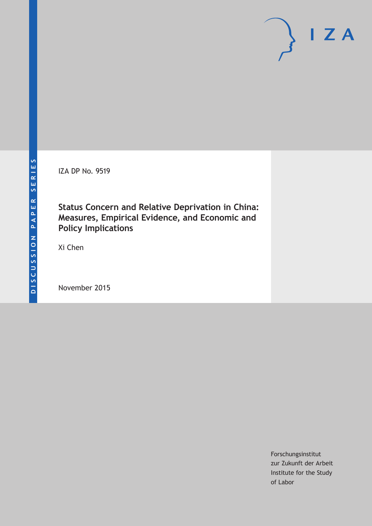IZA DP No. 9519

**Status Concern and Relative Deprivation in China: Measures, Empirical Evidence, and Economic and Policy Implications**

Xi Chen

November 2015

Forschungsinstitut zur Zukunft der Arbeit Institute for the Study of Labor

 $I Z A$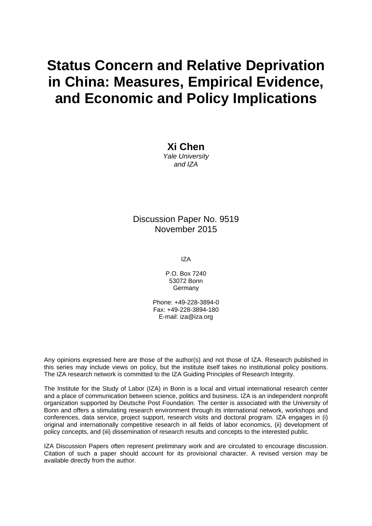# **Status Concern and Relative Deprivation in China: Measures, Empirical Evidence, and Economic and Policy Implications**

**Xi Chen**  *Yale University and IZA* 

### Discussion Paper No. 9519 November 2015

IZA

P.O. Box 7240 53072 Bonn **Germany** 

Phone: +49-228-3894-0 Fax: +49-228-3894-180 E-mail: iza@iza.org

Any opinions expressed here are those of the author(s) and not those of IZA. Research published in this series may include views on policy, but the institute itself takes no institutional policy positions. The IZA research network is committed to the IZA Guiding Principles of Research Integrity.

The Institute for the Study of Labor (IZA) in Bonn is a local and virtual international research center and a place of communication between science, politics and business. IZA is an independent nonprofit organization supported by Deutsche Post Foundation. The center is associated with the University of Bonn and offers a stimulating research environment through its international network, workshops and conferences, data service, project support, research visits and doctoral program. IZA engages in (i) original and internationally competitive research in all fields of labor economics, (ii) development of policy concepts, and (iii) dissemination of research results and concepts to the interested public.

IZA Discussion Papers often represent preliminary work and are circulated to encourage discussion. Citation of such a paper should account for its provisional character. A revised version may be available directly from the author.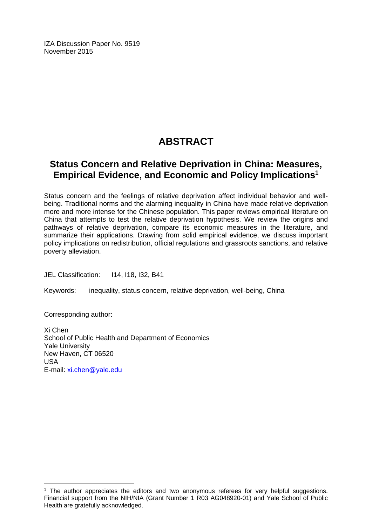IZA Discussion Paper No. 9519 November 2015

# **ABSTRACT**

# **Status Concern and Relative Deprivation in China: Measures, Empirical Evidence, and Economic and Policy Implications1**

Status concern and the feelings of relative deprivation affect individual behavior and wellbeing. Traditional norms and the alarming inequality in China have made relative deprivation more and more intense for the Chinese population. This paper reviews empirical literature on China that attempts to test the relative deprivation hypothesis. We review the origins and pathways of relative deprivation, compare its economic measures in the literature, and summarize their applications. Drawing from solid empirical evidence, we discuss important policy implications on redistribution, official regulations and grassroots sanctions, and relative poverty alleviation.

JEL Classification: I14, I18, I32, B41

Keywords: inequality, status concern, relative deprivation, well-being, China

Corresponding author:

 $\overline{a}$ 

Xi Chen School of Public Health and Department of Economics Yale University New Haven, CT 06520 USA E-mail: xi.chen@yale.edu

 $<sup>1</sup>$  The author appreciates the editors and two anonymous referees for very helpful suggestions.</sup> Financial support from the NIH/NIA (Grant Number 1 R03 AG048920-01) and Yale School of Public Health are gratefully acknowledged.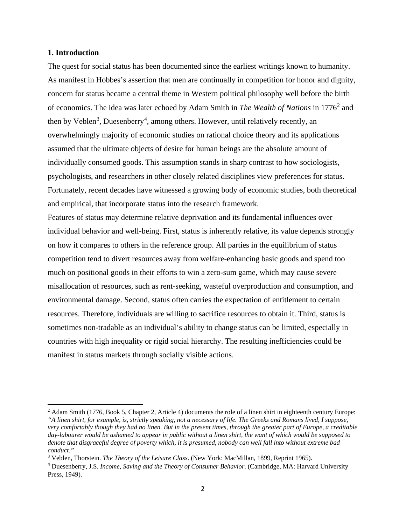#### **1. Introduction**

 $\overline{\phantom{a}}$ 

The quest for social status has been documented since the earliest writings known to humanity. As manifest in Hobbes's assertion that men are continually in competition for honor and dignity, concern for status became a central theme in Western political philosophy well before the birth of economics. The idea was later echoed by Adam Smith in *The Wealth of Nations* in 1776<sup>[2](#page-3-0)</sup> and then by Veblen<sup>[3](#page-3-1)</sup>, Duesenberry<sup>[4](#page-3-2)</sup>, among others. However, until relatively recently, an overwhelmingly majority of economic studies on rational choice theory and its applications assumed that the ultimate objects of desire for human beings are the absolute amount of individually consumed goods. This assumption stands in sharp contrast to how sociologists, psychologists, and researchers in other closely related disciplines view preferences for status. Fortunately, recent decades have witnessed a growing body of economic studies, both theoretical and empirical, that incorporate status into the research framework.

Features of status may determine relative deprivation and its fundamental influences over individual behavior and well-being. First, status is inherently relative, its value depends strongly on how it compares to others in the reference group. All parties in the equilibrium of status competition tend to divert resources away from welfare-enhancing basic goods and spend too much on positional goods in their efforts to win a zero-sum game, which may cause severe misallocation of resources, such as rent-seeking, wasteful overproduction and consumption, and environmental damage. Second, status often carries the expectation of entitlement to certain resources. Therefore, individuals are willing to sacrifice resources to obtain it. Third, status is sometimes non-tradable as an individual's ability to change status can be limited, especially in countries with high inequality or rigid social hierarchy. The resulting inefficiencies could be manifest in status markets through socially visible actions.

<span id="page-3-0"></span><sup>2</sup> Adam Smith (1776, Book 5, Chapter 2, Article 4) documents the role of a linen shirt in eighteenth century Europe: *"A linen shirt, for example, is, strictly speaking, not a necessary of life. The Greeks and Romans lived, I suppose, very comfortably though they had no linen. But in the present times, through the greater part of Europe, a creditable day-labourer would be ashamed to appear in public without a linen shirt, the want of which would be supposed to denote that disgraceful degree of poverty which, it is presumed, nobody can well fall into without extreme bad conduct."*

<span id="page-3-1"></span><sup>3</sup> Veblen, Thorstein. *The Theory of the Leisure Class*. (New York: MacMillan, 1899, Reprint 1965).

<span id="page-3-2"></span><sup>4</sup> Duesenberry, J.S. *Income, Saving and the Theory of Consumer Behavior*. (Cambridge, MA: Harvard University Press, 1949).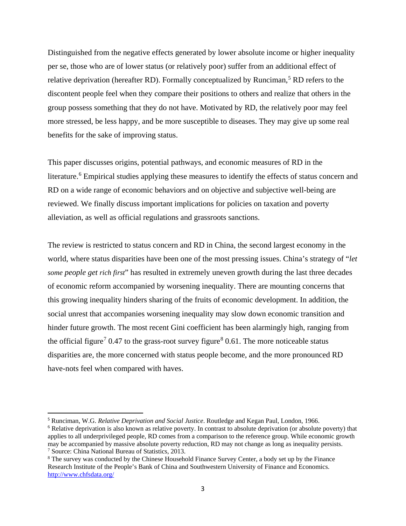Distinguished from the negative effects generated by lower absolute income or higher inequality per se, those who are of lower status (or relatively poor) suffer from an additional effect of relative deprivation (hereafter RD). Formally conceptualized by Runciman,<sup>[5](#page-4-0)</sup> RD refers to the discontent people feel when they compare their positions to others and realize that others in the group possess something that they do not have. Motivated by RD, the relatively poor may feel more stressed, be less happy, and be more susceptible to diseases. They may give up some real benefits for the sake of improving status.

This paper discusses origins, potential pathways, and economic measures of RD in the literature. [6](#page-4-1) Empirical studies applying these measures to identify the effects of status concern and RD on a wide range of economic behaviors and on objective and subjective well-being are reviewed. We finally discuss important implications for policies on taxation and poverty alleviation, as well as official regulations and grassroots sanctions.

The review is restricted to status concern and RD in China, the second largest economy in the world, where status disparities have been one of the most pressing issues. China's strategy of "*let some people get rich first*" has resulted in extremely uneven growth during the last three decades of economic reform accompanied by worsening inequality. There are mounting concerns that this growing inequality hinders sharing of the fruits of economic development. In addition, the social unrest that accompanies worsening inequality may slow down economic transition and hinder future growth. The most recent Gini coefficient has been alarmingly high, ranging from the official figure<sup>[7](#page-4-2)</sup> 0.47 to the grass-root survey figure<sup>[8](#page-4-3)</sup> 0.61. The more noticeable status disparities are, the more concerned with status people become, and the more pronounced RD have-nots feel when compared with haves.

 $\overline{\phantom{a}}$ 

<span id="page-4-0"></span><sup>5</sup> Runciman, W.G. *Relative Deprivation and Social Justice*. Routledge and Kegan Paul, London, 1966.

<span id="page-4-1"></span><sup>&</sup>lt;sup>6</sup> Relative deprivation is also known as relative poverty. In contrast to absolute deprivation (or absolute poverty) that applies to all underprivileged people, RD comes from a comparison to the reference group. While economic growth may be accompanied by massive absolute poverty reduction, RD may not change as long as inequality persists. <sup>7</sup> Source: China National Bureau of Statistics, 2013.

<span id="page-4-3"></span><span id="page-4-2"></span><sup>8</sup> The survey was conducted by the Chinese Household Finance Survey Center, a body set up by the Finance Research Institute of the People's Bank of China and Southwestern University of Finance and Economics. <http://www.chfsdata.org/>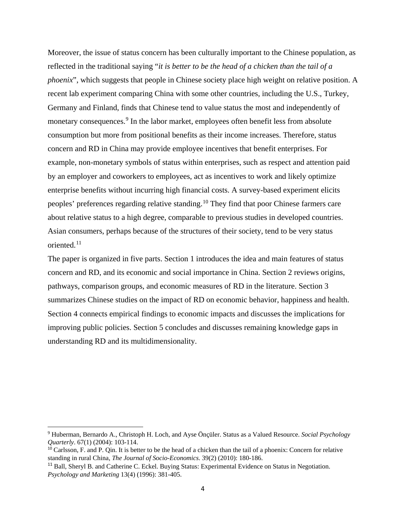Moreover, the issue of status concern has been culturally important to the Chinese population, as reflected in the traditional saying "*it is better to be the head of a chicken than the tail of a phoenix*", which suggests that people in Chinese society place high weight on relative position. A recent lab experiment comparing China with some other countries, including the U.S., Turkey, Germany and Finland, finds that Chinese tend to value status the most and independently of monetary consequences.<sup>[9](#page-5-0)</sup> In the labor market, employees often benefit less from absolute consumption but more from positional benefits as their income increases. Therefore, status concern and RD in China may provide employee incentives that benefit enterprises. For example, non-monetary symbols of status within enterprises, such as respect and attention paid by an employer and coworkers to employees, act as incentives to work and likely optimize enterprise benefits without incurring high financial costs. A survey-based experiment elicits peoples' preferences regarding relative standing.[10](#page-5-1) They find that poor Chinese farmers care about relative status to a high degree, comparable to previous studies in developed countries. Asian consumers, perhaps because of the structures of their society, tend to be very status oriented.[11](#page-5-2)

The paper is organized in five parts. Section 1 introduces the idea and main features of status concern and RD, and its economic and social importance in China. Section 2 reviews origins, pathways, comparison groups, and economic measures of RD in the literature. Section 3 summarizes Chinese studies on the impact of RD on economic behavior, happiness and health. Section 4 connects empirical findings to economic impacts and discusses the implications for improving public policies. Section 5 concludes and discusses remaining knowledge gaps in understanding RD and its multidimensionality.

 $\overline{a}$ 

<span id="page-5-0"></span><sup>9</sup> Huberman, Bernardo A., Christoph H. Loch, and Ayse Önçüler. Status as a Valued Resource. *Social Psychology Quarterly*. 67(1) (2004): 103-114.

<span id="page-5-1"></span> $\frac{10}{10}$  Carlsson, F. and P. Qin. It is better to be the head of a chicken than the tail of a phoenix: Concern for relative standing in rural China, *The Journal of Socio-Economics*. 39(2) (2010): 180-186.

<span id="page-5-2"></span><sup>&</sup>lt;sup>11</sup> Ball, Sheryl B. and Catherine C. Eckel. Buying Status: Experimental Evidence on Status in Negotiation. *Psychology and Marketing* 13(4) (1996): 381-405.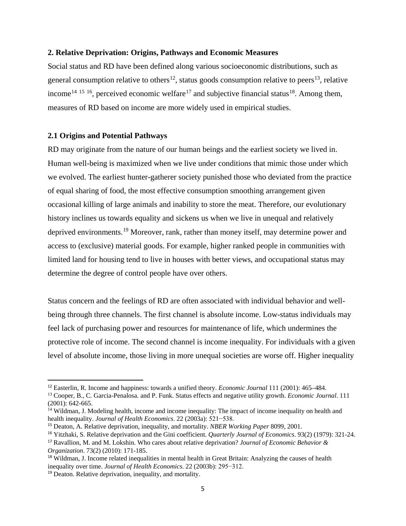#### **2. Relative Deprivation: Origins, Pathways and Economic Measures**

Social status and RD have been defined along various socioeconomic distributions, such as general consumption relative to others<sup>[12](#page-6-0)</sup>, status goods consumption relative to peers<sup>13</sup>, relative income<sup>[14](#page-6-2) [15](#page-6-3) 16</sup>, perceived economic welfare<sup>[17](#page-6-5)</sup> and subjective financial status<sup>18</sup>. Among them, measures of RD based on income are more widely used in empirical studies.

#### **2.1 Origins and Potential Pathways**

RD may originate from the nature of our human beings and the earliest society we lived in. Human well-being is maximized when we live under conditions that mimic those under which we evolved. The earliest hunter-gatherer society punished those who deviated from the practice of equal sharing of food, the most effective consumption smoothing arrangement given occasional killing of large animals and inability to store the meat. Therefore, our evolutionary history inclines us towards equality and sickens us when we live in unequal and relatively deprived environments.[19](#page-6-7) Moreover, rank, rather than money itself, may determine power and access to (exclusive) material goods. For example, higher ranked people in communities with limited land for housing tend to live in houses with better views, and occupational status may determine the degree of control people have over others.

Status concern and the feelings of RD are often associated with individual behavior and wellbeing through three channels. The first channel is absolute income. Low-status individuals may feel lack of purchasing power and resources for maintenance of life, which undermines the protective role of income. The second channel is income inequality. For individuals with a given level of absolute income, those living in more unequal societies are worse off. Higher inequality

 $\overline{\phantom{a}}$ 

<span id="page-6-0"></span><sup>12</sup> Easterlin, R. Income and happiness: towards a unified theory. *Economic Journal* 111 (2001): 465–484.

<span id="page-6-1"></span><sup>13</sup> Cooper, B., C. Garcia-Penalosa. and P. Funk. Status effects and negative utility growth. *Economic Journal*. 111 (2001): 642-665.

<span id="page-6-2"></span><sup>&</sup>lt;sup>14</sup> Wildman, J. Modeling health, income and income inequality: The impact of income inequality on health and health inequality. *Journal of Health Economics*. 22 (2003a): 521−538.

<span id="page-6-3"></span><sup>15</sup> Deaton, A. Relative deprivation, inequality, and mortality. *NBER Working Paper* 8099, 2001.

<span id="page-6-4"></span><sup>16</sup> Yitzhaki, S. Relative deprivation and the Gini coefficient. *Quarterly Journal of Economics*. 93(2) (1979): 321-24.

<span id="page-6-5"></span><sup>17</sup> Ravallion, M. and M. Lokshin. Who cares about relative deprivation? *Journal of Economic Behavior & Organization*. 73(2) (2010): 171-185.

<span id="page-6-6"></span><sup>18</sup> Wildman, J. Income related inequalities in mental health in Great Britain: Analyzing the causes of health inequality over time. *Journal of Health Economics*. 22 (2003b): 295−312.

<span id="page-6-7"></span><sup>19</sup> Deaton. Relative deprivation, inequality, and mortality.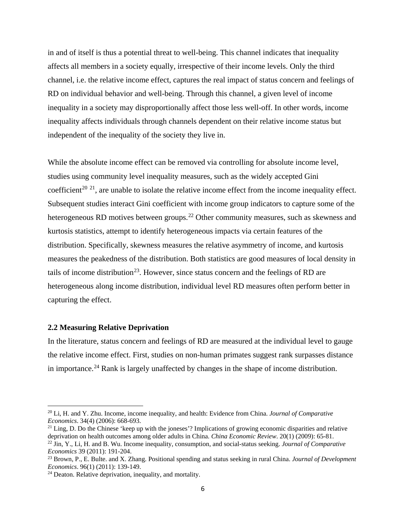in and of itself is thus a potential threat to well-being. This channel indicates that inequality affects all members in a society equally, irrespective of their income levels. Only the third channel, i.e. the relative income effect, captures the real impact of status concern and feelings of RD on individual behavior and well-being. Through this channel, a given level of income inequality in a society may disproportionally affect those less well-off. In other words, income inequality affects individuals through channels dependent on their relative income status but independent of the inequality of the society they live in.

While the absolute income effect can be removed via controlling for absolute income level, studies using community level inequality measures, such as the widely accepted Gini coefficient<sup>[20](#page-7-0) [21](#page-7-1)</sup>, are unable to isolate the relative income effect from the income inequality effect. Subsequent studies interact Gini coefficient with income group indicators to capture some of the heterogeneous RD motives between groups.<sup>[22](#page-7-2)</sup> Other community measures, such as skewness and kurtosis statistics, attempt to identify heterogeneous impacts via certain features of the distribution. Specifically, skewness measures the relative asymmetry of income, and kurtosis measures the peakedness of the distribution. Both statistics are good measures of local density in tails of income distribution<sup>[23](#page-7-3)</sup>. However, since status concern and the feelings of RD are heterogeneous along income distribution, individual level RD measures often perform better in capturing the effect.

#### **2.2 Measuring Relative Deprivation**

 $\overline{a}$ 

In the literature, status concern and feelings of RD are measured at the individual level to gauge the relative income effect. First, studies on non-human primates suggest rank surpasses distance in importance.[24](#page-7-4) Rank is largely unaffected by changes in the shape of income distribution.

<span id="page-7-0"></span><sup>20</sup> Li, H. and Y. Zhu. Income, income inequality, and health: Evidence from China. *Journal of Comparative Economics*. 34(4) (2006): 668-693.

<span id="page-7-1"></span> $21$  Ling, D. Do the Chinese 'keep up with the joneses'? Implications of growing economic disparities and relative deprivation on health outcomes among older adults in China. *China Economic Review*. 20(1) (2009): 65-81.

<span id="page-7-2"></span><sup>22</sup> Jin, Y., Li, H. and B. Wu. Income inequality, consumption, and social-status seeking. *Journal of Comparative Economics* 39 (2011): 191-204.

<span id="page-7-3"></span><sup>23</sup> Brown, P., E. Bulte. and X. Zhang. Positional spending and status seeking in rural China. *Journal of Development Economics*. 96(1) (2011): 139-149.

<span id="page-7-4"></span><sup>&</sup>lt;sup>24</sup> Deaton. Relative deprivation, inequality, and mortality.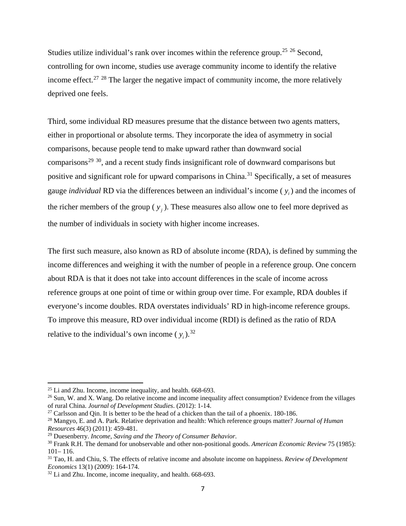Studies utilize individual's rank over incomes within the reference group.<sup>[25](#page-8-0) [26](#page-8-1)</sup> Second, controlling for own income, studies use average community income to identify the relative income effect.<sup>[27](#page-8-2)</sup> <sup>[28](#page-8-3)</sup> The larger the negative impact of community income, the more relatively deprived one feels.

Third, some individual RD measures presume that the distance between two agents matters, either in proportional or absolute terms. They incorporate the idea of asymmetry in social comparisons, because people tend to make upward rather than downward social comparisons<sup>[29](#page-8-4) 30</sup>, and a recent study finds insignificant role of downward comparisons but positive and significant role for upward comparisons in China.<sup>[31](#page-8-6)</sup> Specifically, a set of measures gauge *individual* RD via the differences between an individual's income ( *<sup>i</sup> y* ) and the incomes of the richer members of the group  $(y_i)$ . These measures also allow one to feel more deprived as the number of individuals in society with higher income increases.

The first such measure, also known as RD of absolute income (RDA), is defined by summing the income differences and weighing it with the number of people in a reference group. One concern about RDA is that it does not take into account differences in the scale of income across reference groups at one point of time or within group over time. For example, RDA doubles if everyone's income doubles. RDA overstates individuals' RD in high-income reference groups. To improve this measure, RD over individual income (RDI) is defined as the ratio of RDA relative to the individual's own income  $(y_i)$ .<sup>[32](#page-8-7)</sup>

 $\overline{a}$ 

<span id="page-8-0"></span> $25$  Li and Zhu. Income, income inequality, and health. 668-693.

<span id="page-8-1"></span><sup>&</sup>lt;sup>26</sup> Sun, W. and X. Wang. Do relative income and income inequality affect consumption? Evidence from the villages of rural China. *Journal of Development Studies*. (2012): 1-14.

<span id="page-8-2"></span> $27$  Carlsson and Qin. It is better to be the head of a chicken than the tail of a phoenix. 180-186.

<span id="page-8-3"></span><sup>28</sup> Mangyo, E. and A. Park. Relative deprivation and health: Which reference groups matter? *Journal of Human Resources* 46(3) (2011): 459-481.

<span id="page-8-4"></span><sup>29</sup> Duesenberry. *Income, Saving and the Theory of Consumer Behavior*.

<span id="page-8-5"></span><sup>30</sup> Frank R.H. The demand for unobservable and other non-positional goods. *American Economic Review* 75 (1985):  $101 - 116$ .

<span id="page-8-6"></span><sup>31</sup> Tao, H. and Chiu, S. The effects of relative income and absolute income on happiness. *Review of Development Economics* 13(1) (2009): 164-174.

<span id="page-8-7"></span><sup>&</sup>lt;sup>32</sup> Li and Zhu. Income, income inequality, and health. 668-693.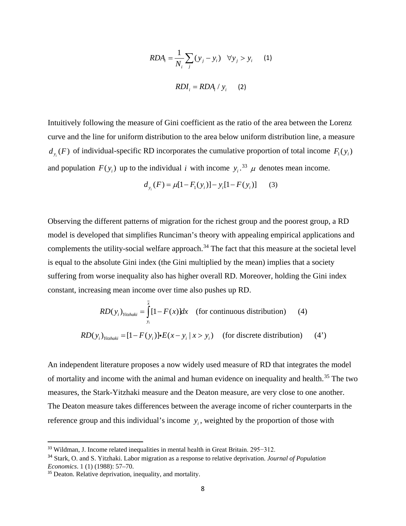$$
RDA_i = \frac{1}{N_i} \sum_j (y_j - y_i) \quad \forall y_j > y_i \qquad (1)
$$

$$
RDI_i = RDA_i / y_i \qquad (2)
$$

Intuitively following the measure of Gini coefficient as the ratio of the area between the Lorenz curve and the line for uniform distribution to the area below uniform distribution line, a measure  $d_{y_i}(F)$  of individual-specific RD incorporates the cumulative proportion of total income  $F_1(y_i)$ and population  $F(y_i)$  up to the individual *i* with income  $y_i$ .<sup>[33](#page-9-0)</sup>  $\mu$  denotes mean income.

$$
d_{y_i}(F) = \mu[1 - F_1(y_i)] - y_i[1 - F(y_i)] \tag{3}
$$

Observing the different patterns of migration for the richest group and the poorest group, a RD model is developed that simplifies Runciman's theory with appealing empirical applications and complements the utility-social welfare approach.<sup>[34](#page-9-1)</sup> The fact that this measure at the societal level is equal to the absolute Gini index (the Gini multiplied by the mean) implies that a society suffering from worse inequality also has higher overall RD. Moreover, holding the Gini index constant, increasing mean income over time also pushes up RD.

$$
RD(y_i)_{Yitzhaki} = \int_{y_i}^{x} [1 - F(x)]dx
$$
 (for continuous distribution) (4)  

$$
RD(y_i)_{Yitzhaki} = [1 - F(y_i)] \cdot E(x - y_i | x > y_i)
$$
 (for discrete distribution) (4')

An independent literature proposes a now widely used measure of RD that integrates the model of mortality and income with the animal and human evidence on inequality and health.<sup>[35](#page-9-2)</sup> The two measures, the Stark-Yitzhaki measure and the Deaton measure, are very close to one another. The Deaton measure takes differences between the average income of richer counterparts in the reference group and this individual's income y<sub>i</sub>, weighted by the proportion of those with

<span id="page-9-0"></span><sup>&</sup>lt;sup>33</sup> Wildman, J. Income related inequalities in mental health in Great Britain. 295–312.

<span id="page-9-1"></span><sup>34</sup> Stark, O. and S. Yitzhaki. Labor migration as a response to relative deprivation. *Journal of Population Economics*. 1 (1) (1988): 57–70.

<span id="page-9-2"></span><sup>&</sup>lt;sup>35</sup> Deaton. Relative deprivation, inequality, and mortality.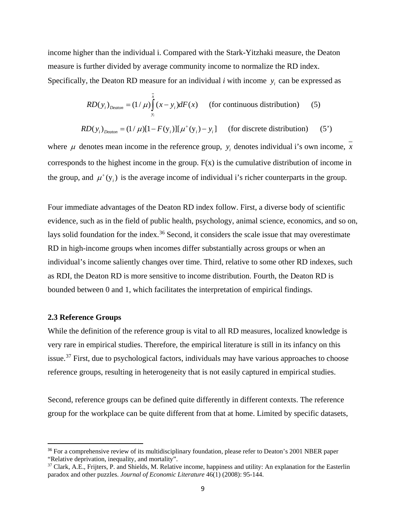income higher than the individual i. Compared with the Stark-Yitzhaki measure, the Deaton measure is further divided by average community income to normalize the RD index. Specifically, the Deaton RD measure for an individual  $i$  with income  $y_i$  can be expressed as

$$
RD(y_i)_{\text{Deaton}} = (1/\mu) \int_{y_i}^{x} (x - y_i) dF(x) \qquad \text{(for continuous distribution)} \tag{5}
$$

$$
RD(y_i)_{\text{Deaton}} = (1/\mu)[1 - F(y_i)][\mu^+(y_i) - y_i] \quad \text{(for discrete distribution)} \tag{5'}
$$

where  $\mu$  denotes mean income in the reference group,  $y_i$  denotes individual i's own income, *x* corresponds to the highest income in the group.  $F(x)$  is the cumulative distribution of income in the group, and  $\mu^+(y)$  is the average income of individual i's richer counterparts in the group.

Four immediate advantages of the Deaton RD index follow. First, a diverse body of scientific evidence, such as in the field of public health, psychology, animal science, economics, and so on, lays solid foundation for the index.<sup>[36](#page-10-0)</sup> Second, it considers the scale issue that may overestimate RD in high-income groups when incomes differ substantially across groups or when an individual's income saliently changes over time. Third, relative to some other RD indexes, such as RDI, the Deaton RD is more sensitive to income distribution. Fourth, the Deaton RD is bounded between 0 and 1, which facilitates the interpretation of empirical findings.

#### **2.3 Reference Groups**

l

While the definition of the reference group is vital to all RD measures, localized knowledge is very rare in empirical studies. Therefore, the empirical literature is still in its infancy on this issue.[37](#page-10-1) First, due to psychological factors, individuals may have various approaches to choose reference groups, resulting in heterogeneity that is not easily captured in empirical studies.

Second, reference groups can be defined quite differently in different contexts. The reference group for the workplace can be quite different from that at home. Limited by specific datasets,

<span id="page-10-0"></span><sup>&</sup>lt;sup>36</sup> For a comprehensive review of its multidisciplinary foundation, please refer to Deaton's 2001 NBER paper "Relative deprivation, inequality, and mortality".

<span id="page-10-1"></span><sup>&</sup>lt;sup>37</sup> Clark, A.E., Frijters, P. and Shields, M. Relative income, happiness and utility: An explanation for the Easterlin paradox and other puzzles. *Journal of Economic Literature* 46(1) (2008): 95-144.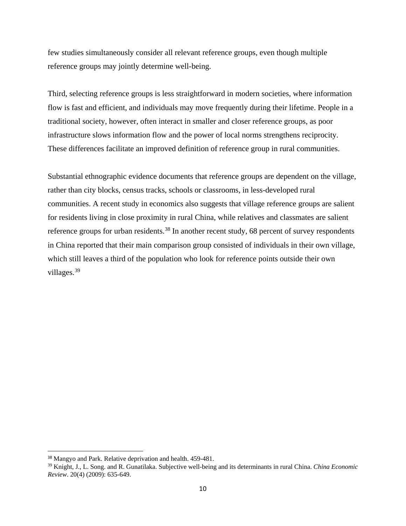few studies simultaneously consider all relevant reference groups, even though multiple reference groups may jointly determine well-being.

Third, selecting reference groups is less straightforward in modern societies, where information flow is fast and efficient, and individuals may move frequently during their lifetime. People in a traditional society, however, often interact in smaller and closer reference groups, as poor infrastructure slows information flow and the power of local norms strengthens reciprocity. These differences facilitate an improved definition of reference group in rural communities.

Substantial ethnographic evidence documents that reference groups are dependent on the village, rather than city blocks, census tracks, schools or classrooms, in less-developed rural communities. A recent study in economics also suggests that village reference groups are salient for residents living in close proximity in rural China, while relatives and classmates are salient reference groups for urban residents.<sup>[38](#page-11-0)</sup> In another recent study, 68 percent of survey respondents in China reported that their main comparison group consisted of individuals in their own village, which still leaves a third of the population who look for reference points outside their own villages.<sup>[39](#page-11-1)</sup>

 $\overline{a}$ 

<span id="page-11-0"></span><sup>38</sup> Mangyo and Park. Relative deprivation and health. 459-481.

<span id="page-11-1"></span><sup>39</sup> Knight, J., L. Song. and R. Gunatilaka. Subjective well-being and its determinants in rural China. *China Economic Review*. 20(4) (2009): 635-649.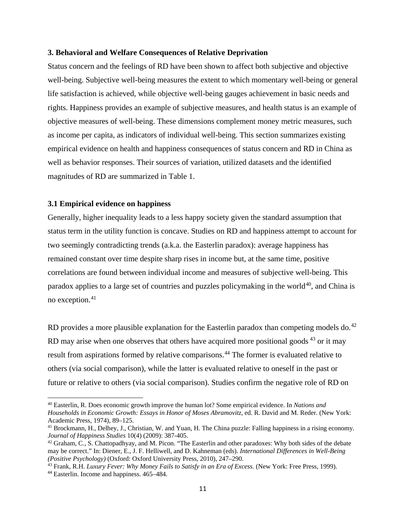#### **3. Behavioral and Welfare Consequences of Relative Deprivation**

Status concern and the feelings of RD have been shown to affect both subjective and objective well-being. Subjective well-being measures the extent to which momentary well-being or general life satisfaction is achieved, while objective well-being gauges achievement in basic needs and rights. Happiness provides an example of subjective measures, and health status is an example of objective measures of well-being. These dimensions complement money metric measures, such as income per capita, as indicators of individual well-being. This section summarizes existing empirical evidence on health and happiness consequences of status concern and RD in China as well as behavior responses. Their sources of variation, utilized datasets and the identified magnitudes of RD are summarized in Table 1.

#### **3.1 Empirical evidence on happiness**

l

Generally, higher inequality leads to a less happy society given the standard assumption that status term in the utility function is concave. Studies on RD and happiness attempt to account for two seemingly contradicting trends (a.k.a. the Easterlin paradox): average happiness has remained constant over time despite sharp rises in income but, at the same time, positive correlations are found between individual income and measures of subjective well-being. This paradox applies to a large set of countries and puzzles policymaking in the world $40$ , and China is no exception. [41](#page-12-1)

RD provides a more plausible explanation for the Easterlin paradox than competing models do.<sup>[42](#page-12-2)</sup> RD may arise when one observes that others have acquired more positional goods  $43$  or it may result from aspirations formed by relative comparisons.<sup>[44](#page-12-4)</sup> The former is evaluated relative to others (via social comparison), while the latter is evaluated relative to oneself in the past or future or relative to others (via social comparison). Studies confirm the negative role of RD on

<span id="page-12-0"></span><sup>40</sup> Easterlin, R. Does economic growth improve the human lot? Some empirical evidence. In *Nations and Households in Economic Growth: Essays in Honor of Moses Abramovitz*, ed. R. David and M. Reder. (New York: Academic Press, 1974), 89–125.

<span id="page-12-1"></span><sup>41</sup> Brockmann, H., Delhey, J., Christian, W. and Yuan, H. The China puzzle: Falling happiness in a rising economy. *Journal of Happiness Studies* 10(4) (2009): 387-405.

<span id="page-12-2"></span> $42$  Graham, C., S. Chattopadhyay, and M. Picon. "The Easterlin and other paradoxes: Why both sides of the debate may be correct." In: Diener, E., J. F. Helliwell, and D. Kahneman (eds). *International Differences in Well-Being (Positive Psychology)* (Oxford: Oxford University Press, 2010), 247–290.

<span id="page-12-4"></span><span id="page-12-3"></span><sup>43</sup> Frank, R.H. *Luxury Fever: Why Money Fails to Satisfy in an Era of Excess*. (New York: Free Press, 1999). <sup>44</sup> Easterlin. Income and happiness. 465–484.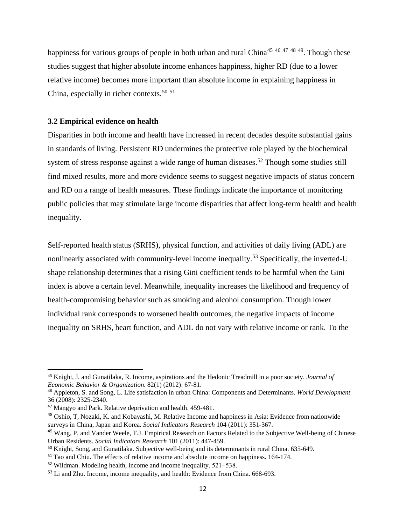happiness for various groups of people in both urban and rural China<sup>[45](#page-13-0) [46](#page-13-1) [47](#page-13-2) [48](#page-13-3) 49</sup>. Though these studies suggest that higher absolute income enhances happiness, higher RD (due to a lower relative income) becomes more important than absolute income in explaining happiness in China, especially in richer contexts. [50](#page-13-5) [51](#page-13-6)

#### **3.2 Empirical evidence on health**

Disparities in both income and health have increased in recent decades despite substantial gains in standards of living. Persistent RD undermines the protective role played by the biochemical system of stress response against a wide range of human diseases.<sup>[52](#page-13-7)</sup> Though some studies still find mixed results, more and more evidence seems to suggest negative impacts of status concern and RD on a range of health measures. These findings indicate the importance of monitoring public policies that may stimulate large income disparities that affect long-term health and health inequality.

Self-reported health status (SRHS), physical function, and activities of daily living (ADL) are nonlinearly associated with community-level income inequality.<sup>[53](#page-13-8)</sup> Specifically, the inverted-U shape relationship determines that a rising Gini coefficient tends to be harmful when the Gini index is above a certain level. Meanwhile, inequality increases the likelihood and frequency of health-compromising behavior such as smoking and alcohol consumption. Though lower individual rank corresponds to worsened health outcomes, the negative impacts of income inequality on SRHS, heart function, and ADL do not vary with relative income or rank. To the

<span id="page-13-0"></span><sup>45</sup> Knight, J. and Gunatilaka, R. Income, aspirations and the Hedonic Treadmill in a poor society. *Journal of Economic Behavior & Organization*. 82(1) (2012): 67-81.

<span id="page-13-1"></span><sup>46</sup> Appleton, S. and Song, L. Life satisfaction in urban China: Components and Determinants. *World Development* 36 (2008): 2325-2340.

<span id="page-13-2"></span><sup>47</sup> Mangyo and Park. Relative deprivation and health. 459-481.

<span id="page-13-3"></span><sup>48</sup> Oshio, T, Nozaki, K. and Kobayashi, M. Relative Income and happiness in Asia: Evidence from nationwide surveys in China, Japan and Korea. *Social Indicators Research* 104 (2011): 351-367.

<span id="page-13-4"></span><sup>&</sup>lt;sup>49</sup> Wang, P. and Vander Weele, T.J. Empirical Research on Factors Related to the Subjective Well-being of Chinese Urban Residents. *Social Indicators Research* 101 (2011): 447-459.

<span id="page-13-5"></span><sup>50</sup> Knight, Song, and Gunatilaka. Subjective well-being and its determinants in rural China. 635-649.

<span id="page-13-6"></span><sup>51</sup> Tao and Chiu. The effects of relative income and absolute income on happiness. 164-174.

<span id="page-13-7"></span><sup>52</sup> Wildman. Modeling health, income and income inequality. 521−538.

<span id="page-13-8"></span><sup>53</sup> Li and Zhu. Income, income inequality, and health: Evidence from China. 668-693.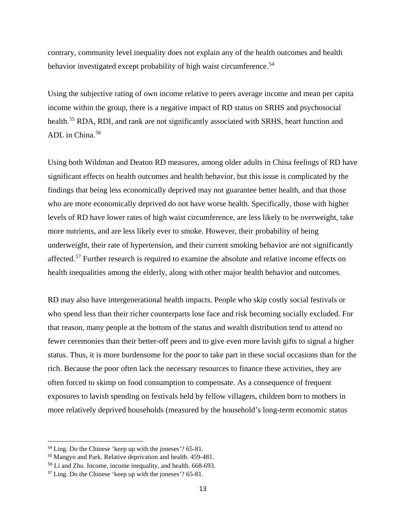contrary, community level inequality does not explain any of the health outcomes and health behavior investigated except probability of high waist circumference.<sup>[54](#page-14-0)</sup>

Using the subjective rating of own income relative to peers average income and mean per capita income within the group, there is a negative impact of RD status on SRHS and psychosocial health.<sup>[55](#page-14-1)</sup> RDA, RDI, and rank are not significantly associated with SRHS, heart function and ADL in China.<sup>[56](#page-14-2)</sup>

Using both Wildman and Deaton RD measures, among older adults in China feelings of RD have significant effects on health outcomes and health behavior, but this issue is complicated by the findings that being less economically deprived may not guarantee better health, and that those who are more economically deprived do not have worse health. Specifically, those with higher levels of RD have lower rates of high waist circumference, are less likely to be overweight, take more nutrients, and are less likely ever to smoke. However, their probability of being underweight, their rate of hypertension, and their current smoking behavior are not significantly affected.<sup>[57](#page-14-3)</sup> Further research is required to examine the absolute and relative income effects on health inequalities among the elderly, along with other major health behavior and outcomes.

RD may also have intergenerational health impacts. People who skip costly social festivals or who spend less than their richer counterparts lose face and risk becoming socially excluded. For that reason, many people at the bottom of the status and wealth distribution tend to attend no fewer ceremonies than their better-off peers and to give even more lavish gifts to signal a higher status. Thus, it is more burdensome for the poor to take part in these social occasions than for the rich. Because the poor often lack the necessary resources to finance these activities, they are often forced to skimp on food consumption to compensate. As a consequence of frequent exposures to lavish spending on festivals held by fellow villagers, children born to mothers in more relatively deprived households (measured by the household's long-term economic status

 $\overline{\phantom{a}}$ 

<span id="page-14-0"></span><sup>54</sup> Ling. Do the Chinese 'keep up with the joneses'? 65-81.

<span id="page-14-1"></span><sup>55</sup> Mangyo and Park. Relative deprivation and health. 459-481.

<span id="page-14-2"></span><sup>56</sup> Li and Zhu. Income, income inequality, and health. 668-693.

<span id="page-14-3"></span><sup>57</sup> Ling. Do the Chinese 'keep up with the joneses'? 65-81.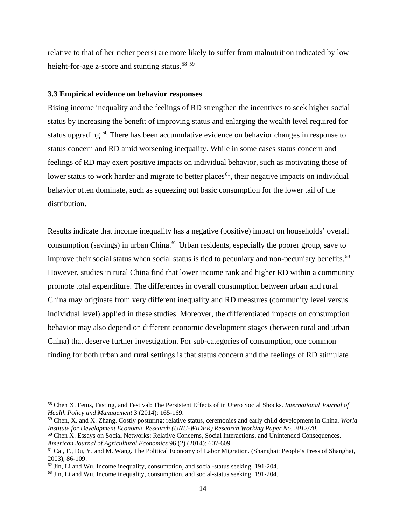relative to that of her richer peers) are more likely to suffer from malnutrition indicated by low height-for-age z-score and stunting status.<sup>[58](#page-15-0)</sup> [59](#page-15-1)

#### **3.3 Empirical evidence on behavior responses**

Rising income inequality and the feelings of RD strengthen the incentives to seek higher social status by increasing the benefit of improving status and enlarging the wealth level required for status upgrading.<sup>[60](#page-15-2)</sup> There has been accumulative evidence on behavior changes in response to status concern and RD amid worsening inequality. While in some cases status concern and feelings of RD may exert positive impacts on individual behavior, such as motivating those of lower status to work harder and migrate to better places<sup>[61](#page-15-3)</sup>, their negative impacts on individual behavior often dominate, such as squeezing out basic consumption for the lower tail of the distribution.

Results indicate that income inequality has a negative (positive) impact on households' overall consumption (savings) in urban China.<sup>[62](#page-15-4)</sup> Urban residents, especially the poorer group, save to improve their social status when social status is tied to pecuniary and non-pecuniary benefits.<sup>[63](#page-15-5)</sup> However, studies in rural China find that lower income rank and higher RD within a community promote total expenditure. The differences in overall consumption between urban and rural China may originate from very different inequality and RD measures (community level versus individual level) applied in these studies. Moreover, the differentiated impacts on consumption behavior may also depend on different economic development stages (between rural and urban China) that deserve further investigation. For sub-categories of consumption, one common finding for both urban and rural settings is that status concern and the feelings of RD stimulate

<span id="page-15-0"></span><sup>58</sup> Chen X. Fetus, Fasting, and Festival: The Persistent Effects of in Utero Social Shocks. *International Journal of Health Policy and Management* 3 (2014): 165-169.

<span id="page-15-1"></span><sup>59</sup> Chen, X. and X. Zhang. Costly posturing: relative status, ceremonies and early child development in China. *World Institute for Development Economic Research (UNU-WIDER) Research Working Paper No. 2012/70*.

<span id="page-15-2"></span> $60$  Chen X. Essays on Social Networks: Relative Concerns, Social Interactions, and Unintended Consequences. *American Journal of Agricultural Economics* 96 (2) (2014): 607-609.

<span id="page-15-3"></span><sup>61</sup> Cai, F., Du, Y. and M. Wang. The Political Economy of Labor Migration. (Shanghai: People's Press of Shanghai, 2003), 86-109.

<span id="page-15-4"></span> $62$  Jin, Li and Wu. Income inequality, consumption, and social-status seeking. 191-204.

<span id="page-15-5"></span><sup>63</sup> Jin, Li and Wu. Income inequality, consumption, and social-status seeking. 191-204.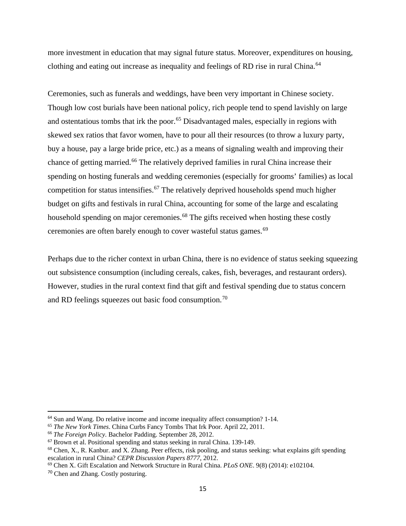more investment in education that may signal future status. Moreover, expenditures on housing, clothing and eating out increase as inequality and feelings of RD rise in rural China.<sup>[64](#page-16-0)</sup>

Ceremonies, such as funerals and weddings, have been very important in Chinese society. Though low cost burials have been national policy, rich people tend to spend lavishly on large and ostentatious tombs that irk the poor.<sup>[65](#page-16-1)</sup> Disadvantaged males, especially in regions with skewed sex ratios that favor women, have to pour all their resources (to throw a luxury party, buy a house, pay a large bride price, etc.) as a means of signaling wealth and improving their chance of getting married.<sup>[66](#page-16-2)</sup> The relatively deprived families in rural China increase their spending on hosting funerals and wedding ceremonies (especially for grooms' families) as local competition for status intensifies.<sup>[67](#page-16-3)</sup> The relatively deprived households spend much higher budget on gifts and festivals in rural China, accounting for some of the large and escalating household spending on major ceremonies.<sup>[68](#page-16-4)</sup> The gifts received when hosting these costly ceremonies are often barely enough to cover wasteful status games.<sup>[69](#page-16-5)</sup>

Perhaps due to the richer context in urban China, there is no evidence of status seeking squeezing out subsistence consumption (including cereals, cakes, fish, beverages, and restaurant orders). However, studies in the rural context find that gift and festival spending due to status concern and RD feelings squeezes out basic food consumption.<sup>[70](#page-16-6)</sup>

 $\overline{\phantom{a}}$ 

<span id="page-16-0"></span><sup>64</sup> Sun and Wang. Do relative income and income inequality affect consumption? 1-14.

<span id="page-16-1"></span><sup>65</sup> *The New York Times*. China Curbs Fancy Tombs That Irk Poor. April 22, 2011.

<span id="page-16-2"></span><sup>66</sup> *The Foreign Policy*. Bachelor Padding. September 28, 2012.

<span id="page-16-3"></span><sup>67</sup> Brown et al. Positional spending and status seeking in rural China. 139-149.

<span id="page-16-4"></span> $68$  Chen, X., R. Kanbur. and X. Zhang. Peer effects, risk pooling, and status seeking: what explains gift spending escalation in rural China? *CEPR Discussion Papers 8777*, 2012.

<span id="page-16-5"></span><sup>69</sup> Chen X. Gift Escalation and Network Structure in Rural China. *PLoS ONE*. 9(8) (2014): e102104.

<span id="page-16-6"></span><sup>70</sup> Chen and Zhang. Costly posturing.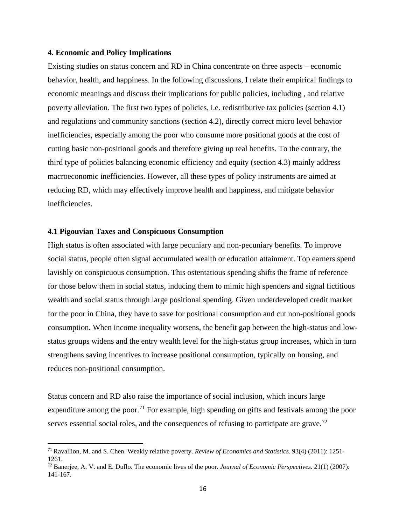#### **4. Economic and Policy Implications**

Existing studies on status concern and RD in China concentrate on three aspects – economic behavior, health, and happiness. In the following discussions, I relate their empirical findings to economic meanings and discuss their implications for public policies, including , and relative poverty alleviation. The first two types of policies, i.e. redistributive tax policies (section 4.1) and regulations and community sanctions (section 4.2), directly correct micro level behavior inefficiencies, especially among the poor who consume more positional goods at the cost of cutting basic non-positional goods and therefore giving up real benefits. To the contrary, the third type of policies balancing economic efficiency and equity (section 4.3) mainly address macroeconomic inefficiencies. However, all these types of policy instruments are aimed at reducing RD, which may effectively improve health and happiness, and mitigate behavior inefficiencies.

#### **4.1 Pigouvian Taxes and Conspicuous Consumption**

l

High status is often associated with large pecuniary and non-pecuniary benefits. To improve social status, people often signal accumulated wealth or education attainment. Top earners spend lavishly on conspicuous consumption. This ostentatious spending shifts the frame of reference for those below them in social status, inducing them to mimic high spenders and signal fictitious wealth and social status through large positional spending. Given underdeveloped credit market for the poor in China, they have to save for positional consumption and cut non-positional goods consumption. When income inequality worsens, the benefit gap between the high-status and lowstatus groups widens and the entry wealth level for the high-status group increases, which in turn strengthens saving incentives to increase positional consumption, typically on housing, and reduces non-positional consumption.

Status concern and RD also raise the importance of social inclusion, which incurs large expenditure among the poor.<sup>[71](#page-17-0)</sup> For example, high spending on gifts and festivals among the poor serves essential social roles, and the consequences of refusing to participate are grave.<sup>[72](#page-17-1)</sup>

<span id="page-17-0"></span><sup>71</sup> Ravallion, M. and S. Chen. Weakly relative poverty. *Review of Economics and Statistics*. 93(4) (2011): 1251- 1261.

<span id="page-17-1"></span><sup>72</sup> Banerjee, A. V. and E. Duflo. The economic lives of the poor. *Journal of Economic Perspectives*. 21(1) (2007): 141-167.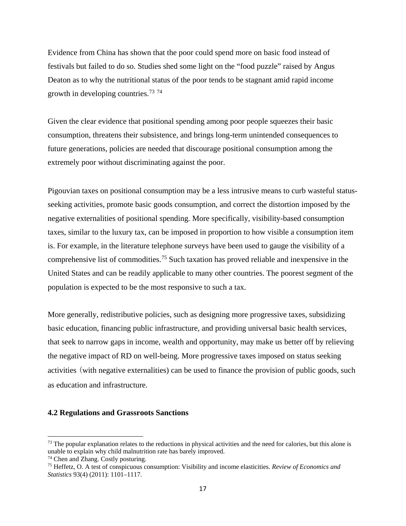Evidence from China has shown that the poor could spend more on basic food instead of festivals but failed to do so. Studies shed some light on the "food puzzle" raised by Angus Deaton as to why the nutritional status of the poor tends to be stagnant amid rapid income growth in developing countries.<sup>[73](#page-18-0)</sup><sup>[74](#page-18-1)</sup>

Given the clear evidence that positional spending among poor people squeezes their basic consumption, threatens their subsistence, and brings long-term unintended consequences to future generations, policies are needed that discourage positional consumption among the extremely poor without discriminating against the poor.

Pigouvian taxes on positional consumption may be a less intrusive means to curb wasteful statusseeking activities, promote basic goods consumption, and correct the distortion imposed by the negative externalities of positional spending. More specifically, visibility-based consumption taxes, similar to the luxury tax, can be imposed in proportion to how visible a consumption item is. For example, in the literature telephone surveys have been used to gauge the visibility of a comprehensive list of commodities. [75](#page-18-2) Such taxation has proved reliable and inexpensive in the United States and can be readily applicable to many other countries. The poorest segment of the population is expected to be the most responsive to such a tax.

More generally, redistributive policies, such as designing more progressive taxes, subsidizing basic education, financing public infrastructure, and providing universal basic health services, that seek to narrow gaps in income, wealth and opportunity, may make us better off by relieving the negative impact of RD on well-being. More progressive taxes imposed on status seeking activities (with negative externalities) can be used to finance the provision of public goods, such as education and infrastructure.

#### **4.2 Regulations and Grassroots Sanctions**

 $\overline{\phantom{a}}$ 

<span id="page-18-0"></span> $<sup>73</sup>$  The popular explanation relates to the reductions in physical activities and the need for calories, but this alone is</sup> unable to explain why child malnutrition rate has barely improved.

<span id="page-18-1"></span><sup>74</sup> Chen and Zhang. Costly posturing.

<span id="page-18-2"></span><sup>75</sup> Heffetz, O. A test of conspicuous consumption: Visibility and income elasticities. *Review of Economics and Statistics* 93(4) (2011): 1101–1117.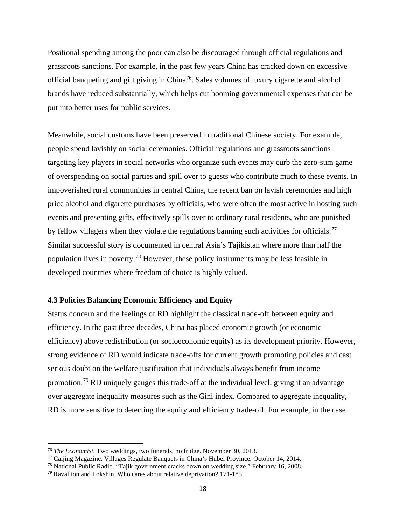Positional spending among the poor can also be discouraged through official regulations and grassroots sanctions. For example, in the past few years China has cracked down on excessive official banqueting and gift giving in China<sup>[76](#page-19-0)</sup>. Sales volumes of luxury cigarette and alcohol brands have reduced substantially, which helps cut booming governmental expenses that can be put into better uses for public services.

Meanwhile, social customs have been preserved in traditional Chinese society. For example, people spend lavishly on social ceremonies. Official regulations and grassroots sanctions targeting key players in social networks who organize such events may curb the zero-sum game of overspending on social parties and spill over to guests who contribute much to these events. In impoverished rural communities in central China, the recent ban on lavish ceremonies and high price alcohol and cigarette purchases by officials, who were often the most active in hosting such events and presenting gifts, effectively spills over to ordinary rural residents, who are punished by fellow villagers when they violate the regulations banning such activities for officials.<sup>[77](#page-19-1)</sup> Similar successful story is documented in central Asia's Tajikistan where more than half the population lives in poverty.<sup>[78](#page-19-2)</sup> However, these policy instruments may be less feasible in developed countries where freedom of choice is highly valued.

#### **4.3 Policies Balancing Economic Efficiency and Equity**

Status concern and the feelings of RD highlight the classical trade-off between equity and efficiency. In the past three decades, China has placed economic growth (or economic efficiency) above redistribution (or socioeconomic equity) as its development priority. However, strong evidence of RD would indicate trade-offs for current growth promoting policies and cast serious doubt on the welfare justification that individuals always benefit from income promotion.<sup>[79](#page-19-3)</sup> RD uniquely gauges this trade-off at the individual level, giving it an advantage over aggregate inequality measures such as the Gini index. Compared to aggregate inequality, RD is more sensitive to detecting the equity and efficiency trade-off. For example, in the case

<span id="page-19-0"></span><sup>76</sup> *The Economist*. Two weddings, two funerals, no fridge. November 30, 2013.

<span id="page-19-1"></span><sup>77</sup> Caijing Magazine. Villages Regulate Banquets in China's Hubei Province*.* October 14, 2014.

<span id="page-19-2"></span><sup>78</sup> National Public Radio. "Tajik government cracks down on wedding size." February 16, 2008.

<span id="page-19-3"></span><sup>79</sup> Ravallion and Lokshin. Who cares about relative deprivation? 171-185.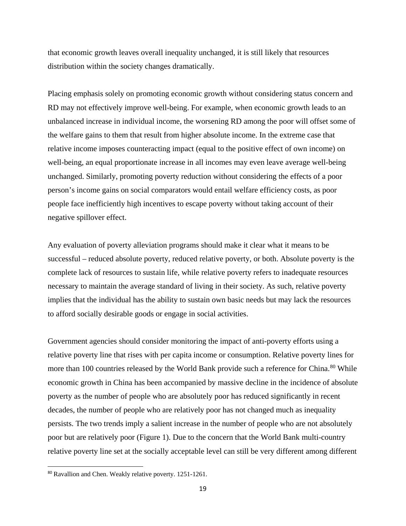that economic growth leaves overall inequality unchanged, it is still likely that resources distribution within the society changes dramatically.

Placing emphasis solely on promoting economic growth without considering status concern and RD may not effectively improve well-being. For example, when economic growth leads to an unbalanced increase in individual income, the worsening RD among the poor will offset some of the welfare gains to them that result from higher absolute income. In the extreme case that relative income imposes counteracting impact (equal to the positive effect of own income) on well-being, an equal proportionate increase in all incomes may even leave average well-being unchanged. Similarly, promoting poverty reduction without considering the effects of a poor person's income gains on social comparators would entail welfare efficiency costs, as poor people face inefficiently high incentives to escape poverty without taking account of their negative spillover effect.

Any evaluation of poverty alleviation programs should make it clear what it means to be successful – reduced absolute poverty, reduced relative poverty, or both. Absolute poverty is the complete lack of resources to sustain life, while relative poverty refers to inadequate resources necessary to maintain the average standard of living in their society. As such, relative poverty implies that the individual has the ability to sustain own basic needs but may lack the resources to afford socially desirable goods or engage in social activities.

Government agencies should consider monitoring the impact of anti-poverty efforts using a relative poverty line that rises with per capita income or consumption. Relative poverty lines for more than 100 countries released by the World Bank provide such a reference for China.<sup>[80](#page-20-0)</sup> While economic growth in China has been accompanied by massive decline in the incidence of absolute poverty as the number of people who are absolutely poor has reduced significantly in recent decades, the number of people who are relatively poor has not changed much as inequality persists. The two trends imply a salient increase in the number of people who are not absolutely poor but are relatively poor (Figure 1). Due to the concern that the World Bank multi-country relative poverty line set at the socially acceptable level can still be very different among different

<span id="page-20-0"></span><sup>80</sup> Ravallion and Chen. Weakly relative poverty. 1251-1261.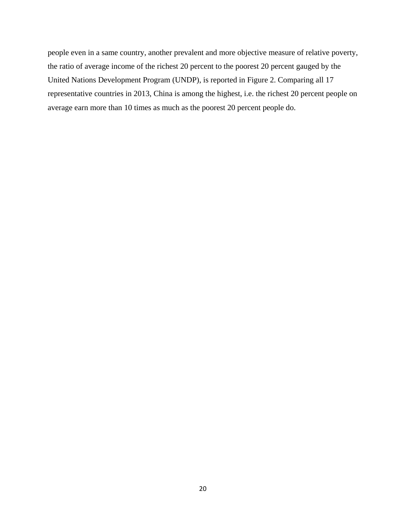people even in a same country, another prevalent and more objective measure of relative poverty, the ratio of average income of the richest 20 percent to the poorest 20 percent gauged by the United Nations Development Program (UNDP), is reported in Figure 2. Comparing all 17 representative countries in 2013, China is among the highest, i.e. the richest 20 percent people on average earn more than 10 times as much as the poorest 20 percent people do.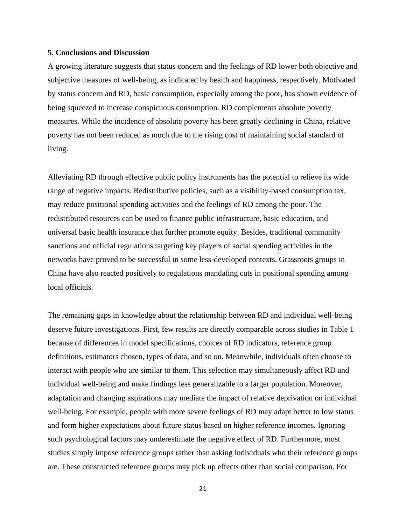#### **5. Conclusions and Discussion**

A growing literature suggests that status concern and the feelings of RD lower both objective and subjective measures of well-being, as indicated by health and happiness, respectively. Motivated by status concern and RD, basic consumption, especially among the poor, has shown evidence of being squeezed to increase conspicuous consumption. RD complements absolute poverty measures. While the incidence of absolute poverty has been greatly declining in China, relative poverty has not been reduced as much due to the rising cost of maintaining social standard of living.

Alleviating RD through effective public policy instruments has the potential to relieve its wide range of negative impacts. Redistributive policies, such as a visibility-based consumption tax, may reduce positional spending activities and the feelings of RD among the poor. The redistributed resources can be used to finance public infrastructure, basic education, and universal basic health insurance that further promote equity. Besides, traditional community sanctions and official regulations targeting key players of social spending activities in the networks have proved to be successful in some less-developed contexts. Grassroots groups in China have also reacted positively to regulations mandating cuts in positional spending among local officials.

The remaining gaps in knowledge about the relationship between RD and individual well-being deserve future investigations. First, few results are directly comparable across studies in Table 1 because of differences in model specifications, choices of RD indicators, reference group definitions, estimators chosen, types of data, and so on. Meanwhile, individuals often choose to interact with people who are similar to them. This selection may simultaneously affect RD and individual well-being and make findings less generalizable to a larger population. Moreover, adaptation and changing aspirations may mediate the impact of relative deprivation on individual well-being. For example, people with more severe feelings of RD may adapt better to low status and form higher expectations about future status based on higher reference incomes. Ignoring such psychological factors may underestimate the negative effect of RD. Furthermore, most studies simply impose reference groups rather than asking individuals who their reference groups are. These constructed reference groups may pick up effects other than social comparison. For

21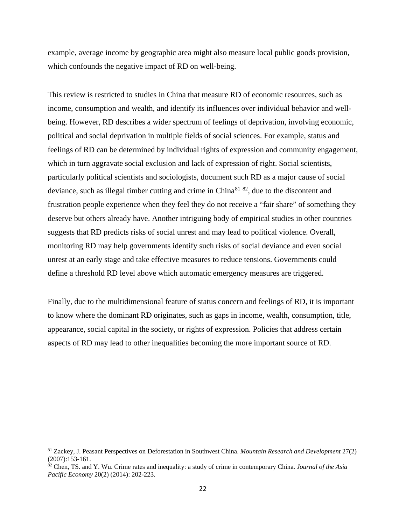example, average income by geographic area might also measure local public goods provision, which confounds the negative impact of RD on well-being.

This review is restricted to studies in China that measure RD of economic resources, such as income, consumption and wealth, and identify its influences over individual behavior and wellbeing. However, RD describes a wider spectrum of feelings of deprivation, involving economic, political and social deprivation in multiple fields of social sciences. For example, status and feelings of RD can be determined by individual rights of expression and community engagement, which in turn aggravate social exclusion and lack of expression of right. Social scientists, particularly political scientists and sociologists, document such RD as a major cause of social deviance, such as illegal timber cutting and crime in  $China^{81}$  $China^{81}$  $China^{81}$   $^{82}$ , due to the discontent and frustration people experience when they feel they do not receive a "fair share" of something they deserve but others already have. Another intriguing body of empirical studies in other countries suggests that RD predicts risks of social unrest and may lead to political violence. Overall, monitoring RD may help governments identify such risks of social deviance and even social unrest at an early stage and take effective measures to reduce tensions. Governments could define a threshold RD level above which automatic emergency measures are triggered.

Finally, due to the multidimensional feature of status concern and feelings of RD, it is important to know where the dominant RD originates, such as gaps in income, wealth, consumption, title, appearance, social capital in the society, or rights of expression. Policies that address certain aspects of RD may lead to other inequalities becoming the more important source of RD.

<span id="page-23-0"></span><sup>81</sup> Zackey, J. Peasant Perspectives on Deforestation in Southwest China. *Mountain Research and Development* 27(2) (2007):153-161.

<span id="page-23-1"></span><sup>82</sup> Chen, TS. and Y. Wu. Crime rates and inequality: a study of crime in contemporary China. *Journal of the Asia Pacific Economy* 20(2) (2014): 202-223.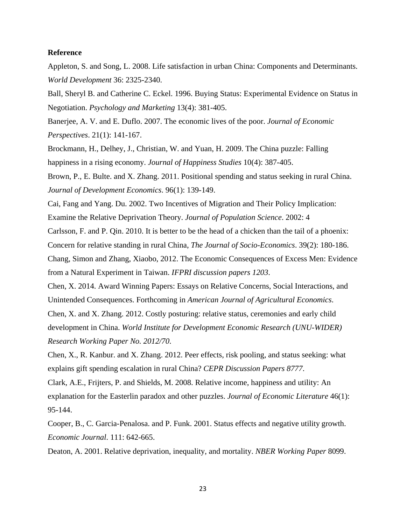#### **Reference**

Appleton, S. and Song, L. 2008. Life satisfaction in urban China: Components and Determinants. *World Development* 36: 2325-2340.

Ball, Sheryl B. and Catherine C. Eckel. 1996. Buying Status: Experimental Evidence on Status in Negotiation. *Psychology and Marketing* 13(4): 381-405.

Banerjee, A. V. and E. Duflo. 2007. The economic lives of the poor. *Journal of Economic Perspectives*. 21(1): 141-167.

Brockmann, H., Delhey, J., Christian, W. and Yuan, H. 2009. The China puzzle: Falling happiness in a rising economy. *Journal of Happiness Studies* 10(4): 387-405.

Brown, P., E. Bulte. and X. Zhang. 2011. Positional spending and status seeking in rural China. *Journal of Development Economics*. 96(1): 139-149.

Cai, Fang and Yang. Du. 2002. Two Incentives of Migration and Their Policy Implication: Examine the Relative Deprivation Theory. *Journal of Population Science*. 2002: 4

Carlsson, F. and P. Qin. 2010. It is better to be the head of a chicken than the tail of a phoenix: Concern for relative standing in rural China, *The Journal of Socio-Economics*. 39(2): 180-186.

Chang, Simon and Zhang, Xiaobo, 2012. The Economic Consequences of Excess Men: Evidence from a Natural Experiment in Taiwan. *IFPRI discussion papers 1203*.

Chen, X. 2014. Award Winning Papers: Essays on Relative Concerns, Social Interactions, and Unintended Consequences. Forthcoming in *American Journal of Agricultural Economics*.

Chen, X. and X. Zhang. 2012. Costly posturing: relative status, ceremonies and early child development in China. *World Institute for Development Economic Research (UNU-WIDER) Research Working Paper No. 2012/70*.

Chen, X., R. Kanbur. and X. Zhang. 2012. Peer effects, risk pooling, and status seeking: what explains gift spending escalation in rural China? *CEPR Discussion Papers 8777*.

Clark, A.E., Frijters, P. and Shields, M. 2008. Relative income, happiness and utility: An explanation for the Easterlin paradox and other puzzles. *Journal of Economic Literature* 46(1): 95-144.

Cooper, B., C. Garcia-Penalosa. and P. Funk. 2001. Status effects and negative utility growth. *Economic Journal*. 111: 642-665.

Deaton, A. 2001. Relative deprivation, inequality, and mortality. *NBER Working Paper* 8099.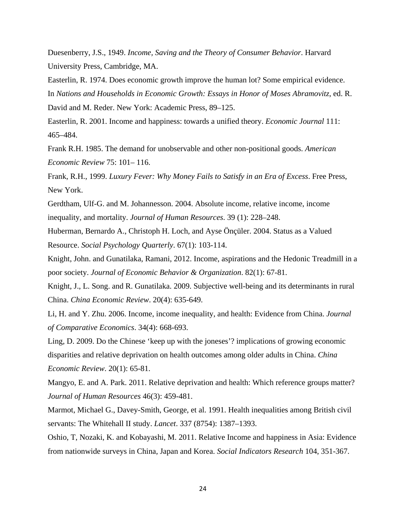Duesenberry, J.S., 1949. *Income, Saving and the Theory of Consumer Behavior*. Harvard University Press, Cambridge, MA.

Easterlin, R. 1974. Does economic growth improve the human lot? Some empirical evidence. In *Nations and Households in Economic Growth: Essays in Honor of Moses Abramovitz*, ed. R. David and M. Reder. New York: Academic Press, 89–125.

Easterlin, R. 2001. Income and happiness: towards a unified theory. *Economic Journal* 111: 465–484.

Frank R.H. 1985. The demand for unobservable and other non-positional goods. *American Economic Review* 75: 101– 116.

Frank, R.H., 1999. *Luxury Fever: Why Money Fails to Satisfy in an Era of Excess*. Free Press, New York.

Gerdtham, Ulf-G. and M. Johannesson. 2004. Absolute income, relative income, income inequality, and mortality. *Journal of Human Resources*. 39 (1): 228–248.

Huberman, Bernardo A., Christoph H. Loch, and Ayse Önçüler. 2004. Status as a Valued Resource. *Social Psychology Quarterly*. 67(1): 103-114.

Knight, John. and Gunatilaka, Ramani, 2012. Income, aspirations and the Hedonic Treadmill in a poor society. *Journal of Economic Behavior & Organization*. 82(1): 67-81.

Knight, J., L. Song. and R. Gunatilaka. 2009. Subjective well-being and its determinants in rural China. *China Economic Review*. 20(4): 635-649.

Li, H. and Y. Zhu. 2006. Income, income inequality, and health: Evidence from China. *Journal of Comparative Economics*. 34(4): 668-693.

Ling, D. 2009. Do the Chinese 'keep up with the joneses'? implications of growing economic disparities and relative deprivation on health outcomes among older adults in China. *China Economic Review*. 20(1): 65-81.

Mangyo, E. and A. Park. 2011. Relative deprivation and health: Which reference groups matter? *Journal of Human Resources* 46(3): 459-481.

Marmot, Michael G., Davey-Smith, George, et al. 1991. Health inequalities among British civil servants: The Whitehall II study. *Lancet*. 337 (8754): 1387–1393.

Oshio, T, Nozaki, K. and Kobayashi, M. 2011. Relative Income and happiness in Asia: Evidence from nationwide surveys in China, Japan and Korea. *Social Indicators Research* 104, 351-367.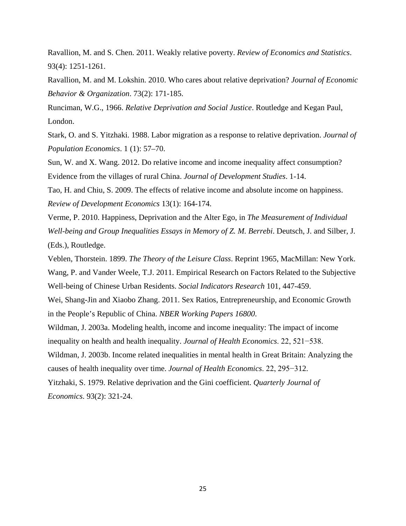Ravallion, M. and S. Chen. 2011. Weakly relative poverty. *Review of Economics and Statistics*. 93(4): 1251-1261.

Ravallion, M. and M. Lokshin. 2010. Who cares about relative deprivation? *Journal of Economic Behavior & Organization*. 73(2): 171-185.

Runciman, W.G., 1966. *Relative Deprivation and Social Justice*. Routledge and Kegan Paul, London.

Stark, O. and S. Yitzhaki. 1988. Labor migration as a response to relative deprivation. *Journal of Population Economics*. 1 (1): 57–70.

Sun, W. and X. Wang. 2012. Do relative income and income inequality affect consumption? Evidence from the villages of rural China. *Journal of Development Studies*. 1-14.

Tao, H. and Chiu, S. 2009. The effects of relative income and absolute income on happiness. *Review of Development Economics* 13(1): 164-174.

Verme, P. 2010. Happiness, Deprivation and the Alter Ego, in *The Measurement of Individual Well-being and Group Inequalities Essays in Memory of Z. M. Berrebi*. Deutsch, J. and Silber, J. (Eds.), Routledge.

Veblen, Thorstein. 1899. *The Theory of the Leisure Class*. Reprint 1965, MacMillan: New York. Wang, P. and Vander Weele, T.J. 2011. Empirical Research on Factors Related to the Subjective Well-being of Chinese Urban Residents. *Social Indicators Research* 101, 447-459.

Wei, Shang-Jin and Xiaobo Zhang. 2011. Sex Ratios, Entrepreneurship, and Economic Growth in the People's Republic of China. *NBER Working Papers 16800*.

Wildman, J. 2003a. Modeling health, income and income inequality: The impact of income inequality on health and health inequality. *Journal of Health Economics*. 22, 521−538.

Wildman, J. 2003b. Income related inequalities in mental health in Great Britain: Analyzing the causes of health inequality over time. *Journal of Health Economics*. 22, 295−312.

Yitzhaki, S. 1979. Relative deprivation and the Gini coefficient. *Quarterly Journal of Economics*. 93(2): 321-24.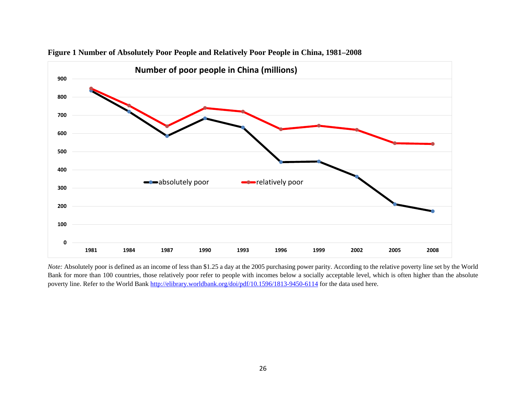

#### **Figure 1 Number of Absolutely Poor People and Relatively Poor People in China, 1981–2008**

*Note:* Absolutely poor is defined as an income of less than \$1.25 a day at the 2005 purchasing power parity. According to the relative poverty line set by the World Bank for more than 100 countries, those relatively poor refer to people with incomes below a socially acceptable level, which is often higher than the absolute poverty line. Refer to the World Bank<http://elibrary.worldbank.org/doi/pdf/10.1596/1813-9450-6114> for the data used here.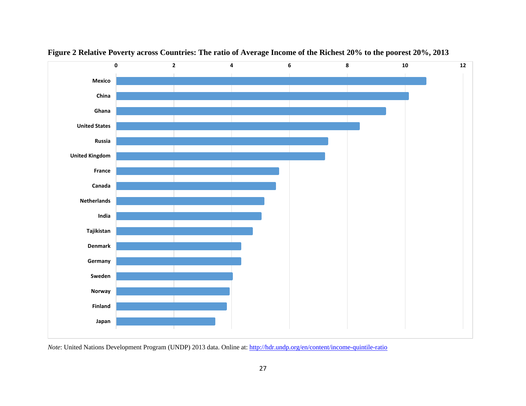



*Note*: United Nations Development Program (UNDP) 2013 data. Online at[: http://hdr.undp.org/en/content/income-quintile-ratio](http://hdr.undp.org/en/content/income-quintile-ratio)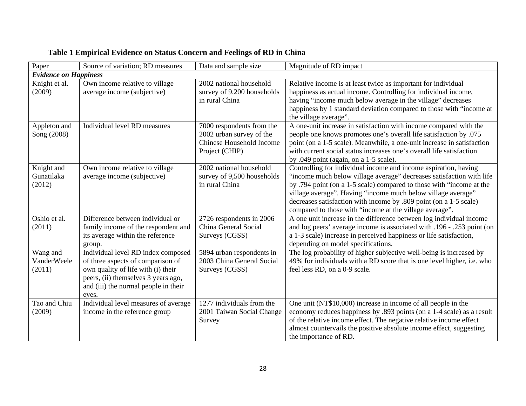| Paper                              | Source of variation; RD measures                                                                                                                                                                      | Data and sample size                                                                                | Magnitude of RD impact                                                                                                                                                                                                                                                                                                                                                                                          |  |  |  |
|------------------------------------|-------------------------------------------------------------------------------------------------------------------------------------------------------------------------------------------------------|-----------------------------------------------------------------------------------------------------|-----------------------------------------------------------------------------------------------------------------------------------------------------------------------------------------------------------------------------------------------------------------------------------------------------------------------------------------------------------------------------------------------------------------|--|--|--|
| <b>Evidence on Happiness</b>       |                                                                                                                                                                                                       |                                                                                                     |                                                                                                                                                                                                                                                                                                                                                                                                                 |  |  |  |
| Knight et al.<br>(2009)            | Own income relative to village<br>average income (subjective)                                                                                                                                         | 2002 national household<br>survey of 9,200 households<br>in rural China                             | Relative income is at least twice as important for individual<br>happiness as actual income. Controlling for individual income,<br>having "income much below average in the village" decreases<br>happiness by 1 standard deviation compared to those with "income at<br>the village average".                                                                                                                  |  |  |  |
| Appleton and<br>Song (2008)        | Individual level RD measures                                                                                                                                                                          | 7000 respondents from the<br>2002 urban survey of the<br>Chinese Household Income<br>Project (CHIP) | A one-unit increase in satisfaction with income compared with the<br>people one knows promotes one's overall life satisfaction by .075<br>point (on a 1-5 scale). Meanwhile, a one-unit increase in satisfaction<br>with current social status increases one's overall life satisfaction<br>by .049 point (again, on a 1-5 scale).                                                                              |  |  |  |
| Knight and<br>Gunatilaka<br>(2012) | Own income relative to village<br>average income (subjective)                                                                                                                                         | 2002 national household<br>survey of 9,500 households<br>in rural China                             | Controlling for individual income and income aspiration, having<br>"income much below village average" decreases satisfaction with life<br>by .794 point (on a 1-5 scale) compared to those with "income at the<br>village average". Having "income much below village average"<br>decreases satisfaction with income by .809 point (on a 1-5 scale)<br>compared to those with "income at the village average". |  |  |  |
| Oshio et al.<br>(2011)             | Difference between individual or<br>family income of the respondent and<br>its average within the reference<br>group.                                                                                 | 2726 respondents in 2006<br>China General Social<br>Surveys (CGSS)                                  | A one unit increase in the difference between log individual income<br>and log peers' average income is associated with .196 - .253 point (on<br>a 1-3 scale) increase in perceived happiness or life satisfaction,<br>depending on model specifications.                                                                                                                                                       |  |  |  |
| Wang and<br>VanderWeele<br>(2011)  | Individual level RD index composed<br>of three aspects of comparison of<br>own quality of life with (i) their<br>peers, (ii) themselves 3 years ago,<br>and (iii) the normal people in their<br>eyes. | 5894 urban respondents in<br>2003 China General Social<br>Surveys (CGSS)                            | The log probability of higher subjective well-being is increased by<br>49% for individuals with a RD score that is one level higher, i.e. who<br>feel less RD, on a 0-9 scale.                                                                                                                                                                                                                                  |  |  |  |
| Tao and Chiu<br>(2009)             | Individual level measures of average<br>income in the reference group                                                                                                                                 | 1277 individuals from the<br>2001 Taiwan Social Change<br>Survey                                    | One unit (NT\$10,000) increase in income of all people in the<br>economy reduces happiness by .893 points (on a 1-4 scale) as a result<br>of the relative income effect. The negative relative income effect<br>almost countervails the positive absolute income effect, suggesting<br>the importance of RD.                                                                                                    |  |  |  |

# **Table 1 Empirical Evidence on Status Concern and Feelings of RD in China**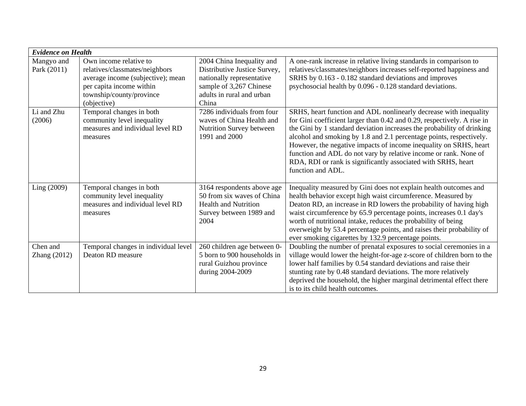| <b>Evidence on Health</b> |                                                                                                                                                                      |                                                                                                                                                         |                                                                                                                                                                                                                                                                                                                                                                                                                                                                                                                              |  |  |  |
|---------------------------|----------------------------------------------------------------------------------------------------------------------------------------------------------------------|---------------------------------------------------------------------------------------------------------------------------------------------------------|------------------------------------------------------------------------------------------------------------------------------------------------------------------------------------------------------------------------------------------------------------------------------------------------------------------------------------------------------------------------------------------------------------------------------------------------------------------------------------------------------------------------------|--|--|--|
| Mangyo and<br>Park (2011) | Own income relative to<br>relatives/classmates/neighbors<br>average income (subjective); mean<br>per capita income within<br>township/county/province<br>(objective) | 2004 China Inequality and<br>Distributive Justice Survey,<br>nationally representative<br>sample of 3,267 Chinese<br>adults in rural and urban<br>China | A one-rank increase in relative living standards in comparison to<br>relatives/classmates/neighbors increases self-reported happiness and<br>SRHS by 0.163 - 0.182 standard deviations and improves<br>psychosocial health by 0.096 - 0.128 standard deviations.                                                                                                                                                                                                                                                             |  |  |  |
| Li and Zhu<br>(2006)      | Temporal changes in both<br>community level inequality<br>measures and individual level RD<br>measures                                                               | 7286 individuals from four<br>waves of China Health and<br>Nutrition Survey between<br>1991 and 2000                                                    | SRHS, heart function and ADL nonlinearly decrease with inequality<br>for Gini coefficient larger than 0.42 and 0.29, respectively. A rise in<br>the Gini by 1 standard deviation increases the probability of drinking<br>alcohol and smoking by 1.8 and 2.1 percentage points, respectively.<br>However, the negative impacts of income inequality on SRHS, heart<br>function and ADL do not vary by relative income or rank. None of<br>RDA, RDI or rank is significantly associated with SRHS, heart<br>function and ADL. |  |  |  |
| Ling (2009)               | Temporal changes in both<br>community level inequality<br>measures and individual level RD<br>measures                                                               | 3164 respondents above age<br>50 from six waves of China<br><b>Health and Nutrition</b><br>Survey between 1989 and<br>2004                              | Inequality measured by Gini does not explain health outcomes and<br>health behavior except high waist circumference. Measured by<br>Deaton RD, an increase in RD lowers the probability of having high<br>waist circumference by 65.9 percentage points, increases 0.1 day's<br>worth of nutritional intake, reduces the probability of being<br>overweight by 53.4 percentage points, and raises their probability of<br>ever smoking cigarettes by 132.9 percentage points.                                                |  |  |  |
| Chen and<br>Zhang (2012)  | Temporal changes in individual level<br>Deaton RD measure                                                                                                            | 260 children age between 0-<br>5 born to 900 households in<br>rural Guizhou province<br>during 2004-2009                                                | Doubling the number of prenatal exposures to social ceremonies in a<br>village would lower the height-for-age z-score of children born to the<br>lower half families by 0.54 standard deviations and raise their<br>stunting rate by 0.48 standard deviations. The more relatively<br>deprived the household, the higher marginal detrimental effect there<br>is to its child health outcomes.                                                                                                                               |  |  |  |